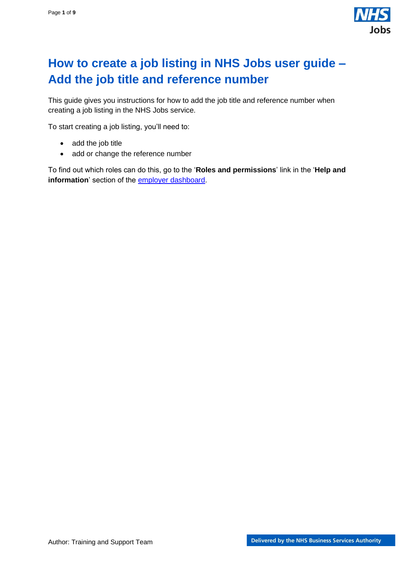

# <span id="page-0-0"></span>**How to create a job listing in NHS Jobs user guide – Add the job title and reference number**

This guide gives you instructions for how to add the job title and reference number when creating a job listing in the NHS Jobs service.

To start creating a job listing, you'll need to:

- add the job title
- add or change the reference number

To find out which roles can do this, go to the '**Roles and permissions**' link in the '**Help and information**' section of the [employer dashboard.](https://beta.jobs.nhs.uk/home)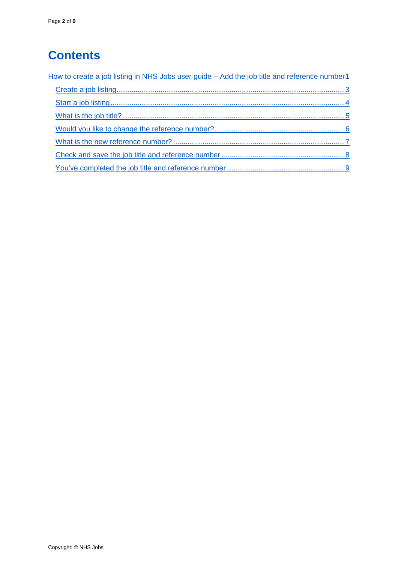# **Contents**

| How to create a job listing in NHS Jobs user guide - Add the job title and reference number1 |
|----------------------------------------------------------------------------------------------|
|                                                                                              |
|                                                                                              |
|                                                                                              |
|                                                                                              |
|                                                                                              |
|                                                                                              |
|                                                                                              |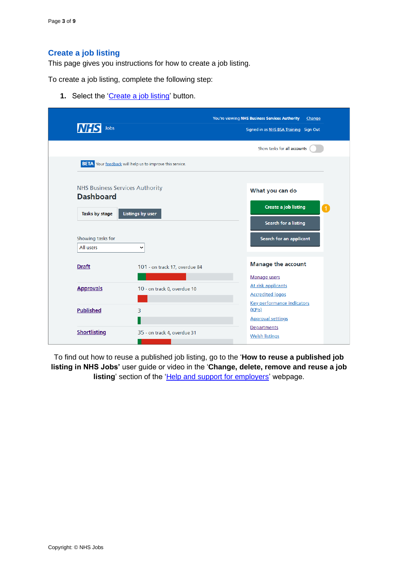### <span id="page-2-0"></span>**Create a job listing**

This page gives you instructions for how to create a job listing.

To create a job listing, complete the following step:

**1.** Select the ['Create a job listing'](#page-3-0) button.

| Jobs<br><b>NHSI</b>                    |                                                                 | You're viewing NHS Business Services Authority<br>Change<br>Signed in as NHS BSA Training Sign Out |
|----------------------------------------|-----------------------------------------------------------------|----------------------------------------------------------------------------------------------------|
|                                        |                                                                 | Show tasks for all accounts                                                                        |
|                                        | <b>BETA</b> Your feedback will help us to improve this service. |                                                                                                    |
| <b>NHS Business Services Authority</b> |                                                                 | What you can do                                                                                    |
| <b>Dashboard</b><br>Tasks by stage     | <b>Listings by user</b>                                         | <b>Create a job listing</b>                                                                        |
|                                        |                                                                 | Search for a listing                                                                               |
| Showing tasks for                      |                                                                 | Search for an applicant                                                                            |
| All users                              | ◡                                                               |                                                                                                    |
| <b>Draft</b>                           | 101 - on track 17, overdue 84                                   | <b>Manage the account</b>                                                                          |
|                                        |                                                                 | Manage users                                                                                       |
| <b>Approvals</b>                       | 10 - on track 0, overdue 10                                     | At risk applicants                                                                                 |
|                                        |                                                                 | <b>Accredited logos</b>                                                                            |
| <b>Published</b>                       | 3                                                               | Key performance indicators<br>(KPIs)                                                               |
|                                        |                                                                 | <b>Approval settings</b>                                                                           |
|                                        |                                                                 | Departments                                                                                        |
| <b>Shortlisting</b>                    | 35 - on track 4, overdue 31                                     | <b>Welsh listings</b>                                                                              |

To find out how to reuse a published job listing, go to the '**How to reuse a published job listing in NHS Jobs'** user guide or video in the '**Change, delete, remove and reuse a job listing**' section of the ['Help and support for employers'](https://www.nhsbsa.nhs.uk/new-nhs-jobs-service/help-and-support-employers) webpage.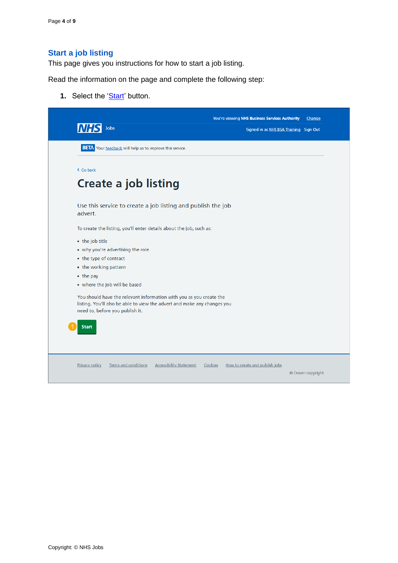## <span id="page-3-0"></span>**Start a job listing**

This page gives you instructions for how to start a job listing.

Read the information on the page and complete the following step:

**1.** Select the ['Start'](#page-4-0) button.

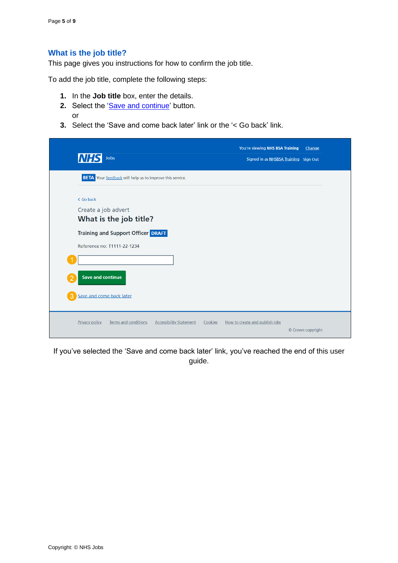#### <span id="page-4-0"></span>**What is the job title?**

This page gives you instructions for how to confirm the job title.

To add the job title, complete the following steps:

- **1.** In the **Job title** box, enter the details.
- 2. Select the ['Save and continue'](#page-5-0) button. or
- **3.** Select the 'Save and come back later' link or the '< Go back' link.

| <b>NHS</b><br>Jobs                                                                                                                                                                             | You're viewing NHS BSA Training<br>Change<br>Signed in as NHSBSA Training Sign Out |
|------------------------------------------------------------------------------------------------------------------------------------------------------------------------------------------------|------------------------------------------------------------------------------------|
| <b>BETA</b> Your feedback will help us to improve this service.                                                                                                                                |                                                                                    |
| < Go back<br>Create a job advert<br>What is the job title?<br><b>Training and Support Officer DRAFT</b><br>Reference no: T1111-22-1234<br><b>Save and continue</b><br>Save and come back later |                                                                                    |
| <b>Privacy policy</b><br><b>Terms and conditions</b><br><b>Accessibility Statement</b>                                                                                                         | Cookies<br>How to create and publish jobs<br>© Crown copyright                     |

If you've selected the 'Save and come back later' link, you've reached the end of this user guide.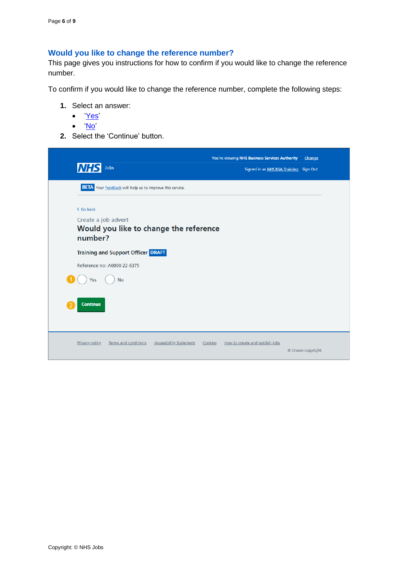# <span id="page-5-0"></span>**Would you like to change the reference number?**

This page gives you instructions for how to confirm if you would like to change the reference number.

To confirm if you would like to change the reference number, complete the following steps:

- **1.** Select an answer:
	- ['Yes'](#page-6-0)
	- ['No'](#page-7-0)
- **2.** Select the 'Continue' button.

| <b>NHS</b><br>Jobs                                                                     | You're viewing NHS Business Services Authority<br>Signed in as NHS BSA Training Sign Out | Change            |
|----------------------------------------------------------------------------------------|------------------------------------------------------------------------------------------|-------------------|
| <b>BETA</b> Your feedback will help us to improve this service.                        |                                                                                          |                   |
| < Go back<br>Create a job advert<br>Would you like to change the reference<br>number?  |                                                                                          |                   |
| <b>Training and Support Officer DRAFT</b>                                              |                                                                                          |                   |
| Reference no: A0090-22-6375                                                            |                                                                                          |                   |
| <b>No</b><br>Yes                                                                       |                                                                                          |                   |
| <b>Continue</b>                                                                        |                                                                                          |                   |
| <b>Terms and conditions</b><br><b>Accessibility Statement</b><br><b>Privacy policy</b> | Cookies<br>How to create and publish jobs                                                | © Crown copyright |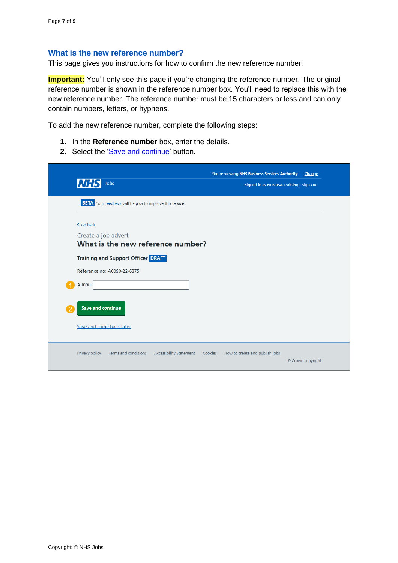#### <span id="page-6-0"></span>**What is the new reference number?**

This page gives you instructions for how to confirm the new reference number.

**Important:** You'll only see this page if you're changing the reference number. The original reference number is shown in the reference number box. You'll need to replace this with the new reference number. The reference number must be 15 characters or less and can only contain numbers, letters, or hyphens.

To add the new reference number, complete the following steps:

- **1.** In the **Reference number** box, enter the details.
- 2. Select the ['Save and continue'](#page-7-0) button.

| <b>NHS</b><br>Jobs                                                                                                                                | You're viewing NHS Business Services Authority<br>Signed in as NHS BSA Training Sign Out | Change            |
|---------------------------------------------------------------------------------------------------------------------------------------------------|------------------------------------------------------------------------------------------|-------------------|
| <b>BETA</b> Your feedback will help us to improve this service.                                                                                   |                                                                                          |                   |
| < Go back<br>Create a job advert<br>What is the new reference number?<br><b>Training and Support Officer DRAFT</b><br>Reference no: A0090-22-6375 |                                                                                          |                   |
| A0090-<br><b>Save and continue</b>                                                                                                                |                                                                                          |                   |
| Save and come back later                                                                                                                          |                                                                                          |                   |
| Terms and conditions<br><b>Accessibility Statement</b><br><b>Privacy policy</b>                                                                   | Cookies<br>How to create and publish jobs                                                | © Crown copyright |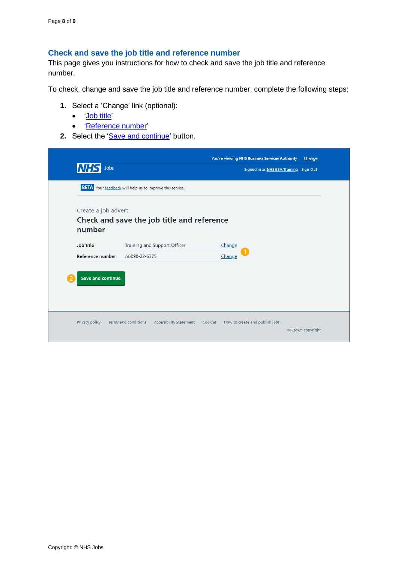#### <span id="page-7-0"></span>**Check and save the job title and reference number**

This page gives you instructions for how to check and save the job title and reference number.

To check, change and save the job title and reference number, complete the following steps:

- **1.** Select a 'Change' link (optional):
	- ['Job title'](#page-4-0)
	- ['Reference number'](#page-6-0)
- **2.** Select the ['Save and continue'](#page-8-0) button.